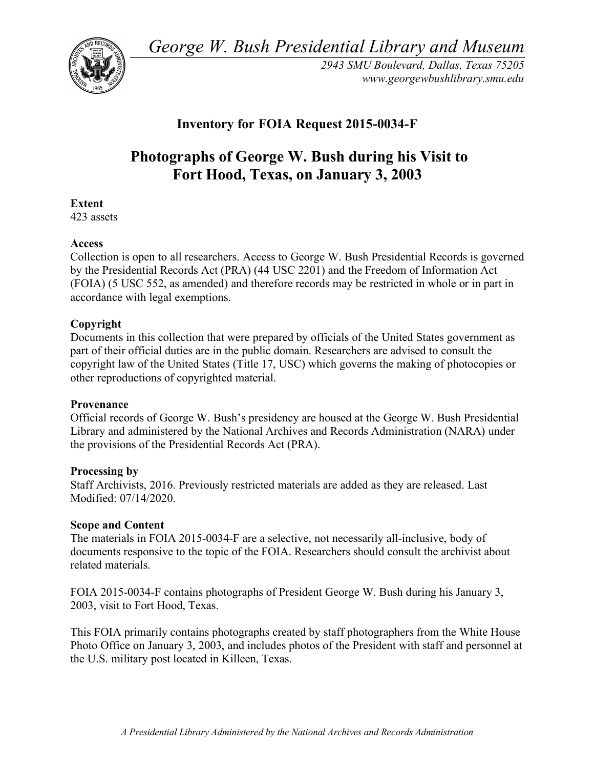*George W. Bush Presidential Library and Museum* 



 *2943 SMU Boulevard, Dallas, Texas 75205 <www.georgewbushlibrary.smu.edu>* 

# **Inventory for FOIA Request 2015-0034-F**

# **Photographs of George W. Bush during his Visit to Fort Hood, Texas, on January 3, 2003**

# **Extent**

423 assets

## **Access**

 Collection is open to all researchers. Access to George W. Bush Presidential Records is governed by the Presidential Records Act (PRA) (44 USC 2201) and the Freedom of Information Act (FOIA) (5 USC 552, as amended) and therefore records may be restricted in whole or in part in accordance with legal exemptions.

## **Copyright**

 Documents in this collection that were prepared by officials of the United States government as part of their official duties are in the public domain. Researchers are advised to consult the copyright law of the United States (Title 17, USC) which governs the making of photocopies or other reproductions of copyrighted material.

#### **Provenance**

 Official records of George W. Bush's presidency are housed at the George W. Bush Presidential Library and administered by the National Archives and Records Administration (NARA) under the provisions of the Presidential Records Act (PRA).

#### **Processing by**

 Staff Archivists, 2016. Previously restricted materials are added as they are released. Last Modified: 07/14/2020.

#### **Scope and Content**

 The materials in FOIA 2015-0034-F are a selective, not necessarily all-inclusive, body of documents responsive to the topic of the FOIA. Researchers should consult the archivist about related materials.

 FOIA 2015-0034-F contains photographs of President George W. Bush during his January 3, 2003, visit to Fort Hood, Texas.

 This FOIA primarily contains photographs created by staff photographers from the White House Photo Office on January 3, 2003, and includes photos of the President with staff and personnel at the U.S. military post located in Killeen, Texas.